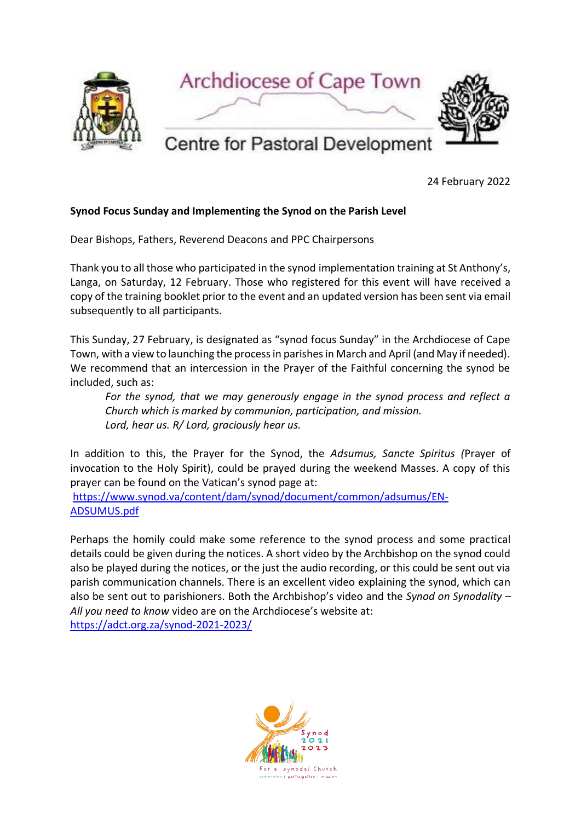

24 February 2022

## **Synod Focus Sunday and Implementing the Synod on the Parish Level**

Dear Bishops, Fathers, Reverend Deacons and PPC Chairpersons

Thank you to all those who participated in the synod implementation training at St Anthony's, Langa, on Saturday, 12 February. Those who registered for this event will have received a copy of the training booklet prior to the event and an updated version has been sent via email subsequently to all participants.

This Sunday, 27 February, is designated as "synod focus Sunday" in the Archdiocese of Cape Town, with a view to launching the process in parishes in March and April (and May if needed). We recommend that an intercession in the Prayer of the Faithful concerning the synod be included, such as:

*For the synod, that we may generously engage in the synod process and reflect a Church which is marked by communion, participation, and mission. Lord, hear us. R/ Lord, graciously hear us.*

In addition to this, the Prayer for the Synod, the *Adsumus, Sancte Spiritus (*Prayer of invocation to the Holy Spirit), could be prayed during the weekend Masses. A copy of this prayer can be found on the Vatican's synod page at:

[https://www.synod.va/content/dam/synod/document/common/adsumus/EN-](https://www.synod.va/content/dam/synod/document/common/adsumus/EN-ADSUMUS.pdf)[ADSUMUS.pdf](https://www.synod.va/content/dam/synod/document/common/adsumus/EN-ADSUMUS.pdf)

Perhaps the homily could make some reference to the synod process and some practical details could be given during the notices. A short video by the Archbishop on the synod could also be played during the notices, or the just the audio recording, or this could be sent out via parish communication channels. There is an excellent video explaining the synod, which can also be sent out to parishioners. Both the Archbishop's video and the *Synod on Synodality – All you need to know* video are on the Archdiocese's website at: <https://adct.org.za/synod-2021-2023/>